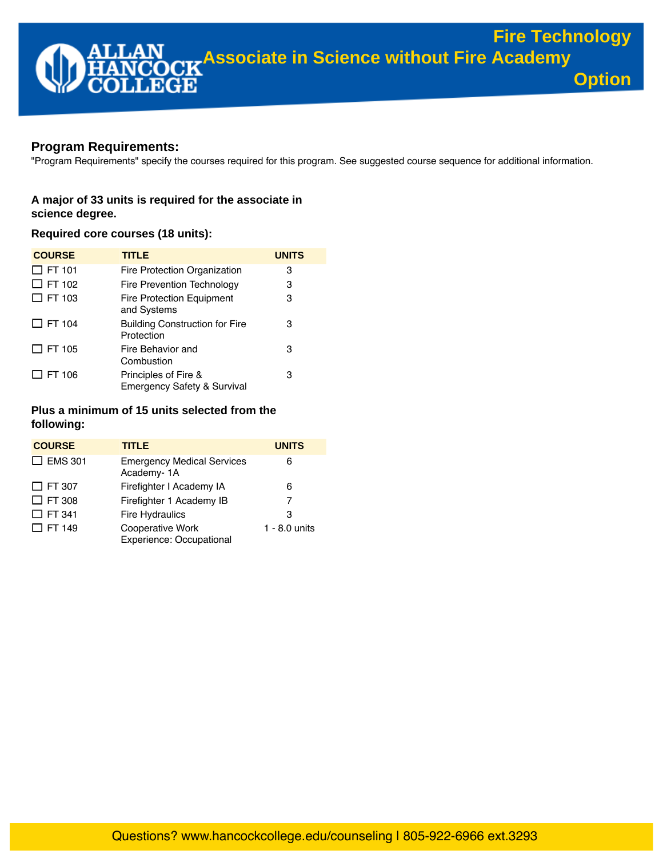# **Program Requirements:**

"Program Requirements" specify the courses required for this program. See suggested course sequence for additional information.

## **A major of 33 units is required for the associate in science degree.**

## **Required core courses (18 units):**

| <b>COURSE</b> | <b>TITLE</b>                                                   | <b>UNITS</b> |
|---------------|----------------------------------------------------------------|--------------|
| $\Box$ FT 101 | Fire Protection Organization                                   | 3            |
| $\Box$ FT 102 | Fire Prevention Technology                                     | 3            |
| $\Box$ FT 103 | <b>Fire Protection Equipment</b><br>and Systems                | 3            |
| $\Box$ FT 104 | <b>Building Construction for Fire</b><br>Protection            | 3            |
| $\Box$ FT 105 | Fire Behavior and<br>Combustion                                | 3            |
| J FT 106      | Principles of Fire &<br><b>Emergency Safety &amp; Survival</b> | 3            |

## **Plus a minimum of 15 units selected from the following:**

| <b>COURSE</b>  | <b>TITLE</b>                                    | <b>UNITS</b>    |
|----------------|-------------------------------------------------|-----------------|
| $\Box$ EMS 301 | <b>Emergency Medical Services</b><br>Academy-1A | 6               |
| $\Box$ FT 307  | Firefighter I Academy IA                        | 6               |
| $\Box$ FT 308  | Firefighter 1 Academy IB                        | 7               |
| $\Box$ FT 341  | <b>Fire Hydraulics</b>                          | 3               |
| $\Box$ FT 149  | Cooperative Work<br>Experience: Occupational    | $1 - 8.0$ units |